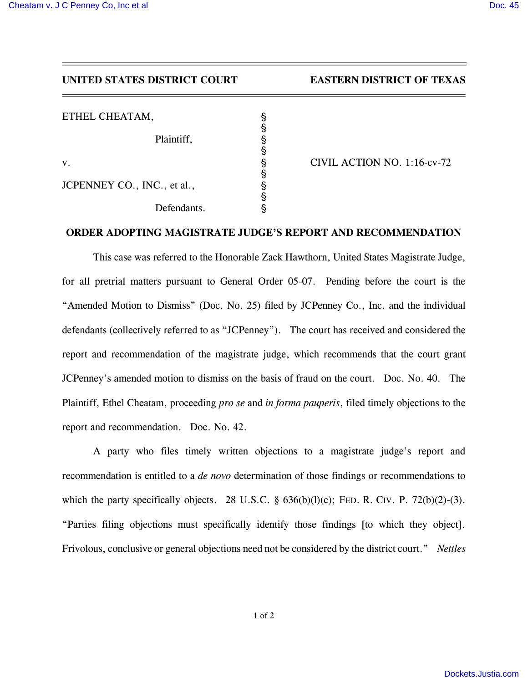## *UNITED STATES DISTRICT COURT EASTERN DISTRICT OF TEXAS*

| ETHEL CHEATAM,              |                             |
|-----------------------------|-----------------------------|
| Plaintiff,                  |                             |
|                             |                             |
| V.                          | CIVIL ACTION NO. 1:16-cv-72 |
|                             |                             |
| JCPENNEY CO., INC., et al., |                             |
|                             |                             |
| Defendants.                 |                             |

## *ORDER ADOPTING MAGISTRATE JUDGE'S REPORT AND RECOMMENDATION*

*This case was referred to the Honorable Zack Hawthorn, United States Magistrate Judge,*  for all pretrial matters pursuant to General Order 05-07. Pending before the court is the *"Amended Motion to Dismiss" (Doc. No. 25) filed by JCPenney Co., Inc. and the individual defendants (collectively referred to as "JCPenney"). The court has received and considered the report and recommendation of the magistrate judge, which recommends that the court grant JCPenney's amended motion to dismiss on the basis of fraud on the court. Doc. No. 40. The Plaintiff, Ethel Cheatam, proceeding pro se and in forma pauperis, filed timely objections to the report and recommendation. Doc. No. 42.*

*A party who files timely written objections to a magistrate judge's report and recommendation is entitled to a de novo determination of those findings or recommendations to which the party specifically objects. 28 U.S.C. § 636(b)(l)(c); FED. R. CIV. P. 72(b)(2)-(3). "Parties filing objections must specifically identify those findings [to which they object]. Frivolous, conclusive or general objections need not be considered by the district court." Nettles*